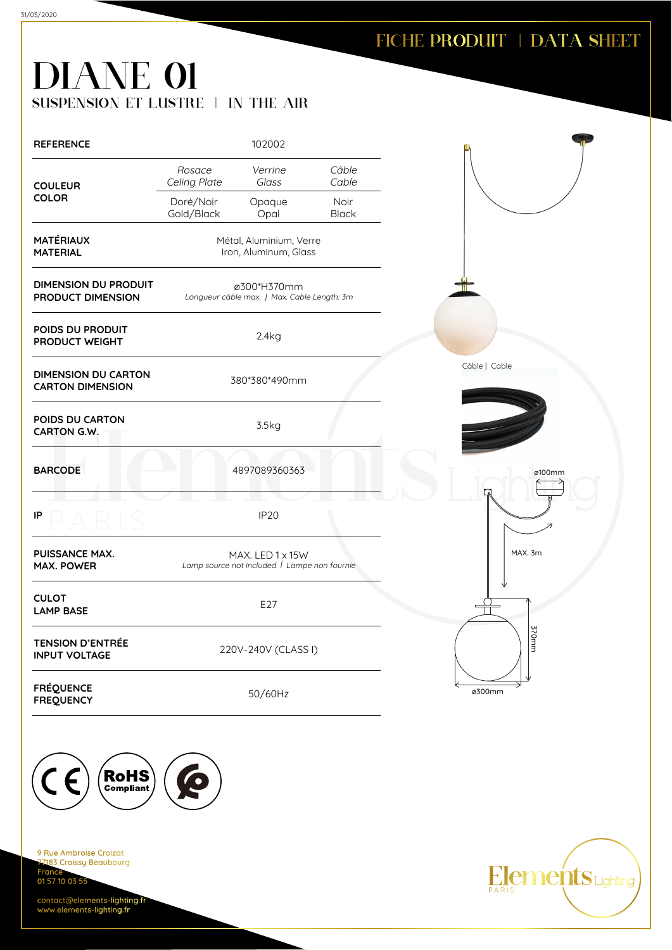# DIANE 01 SUSPENSION ET LUSTRE | IN THE AIR

| <b>REFERENCE</b>                                      |                         | 102002                                                           |                      |               |
|-------------------------------------------------------|-------------------------|------------------------------------------------------------------|----------------------|---------------|
| <b>COULEUR</b>                                        | Rosace<br>Celing Plate  | Verrine<br>Glass                                                 | Câble<br>Cable       |               |
| <b>COLOR</b>                                          | Doré/Noir<br>Gold/Black | Opaque<br>Opal                                                   | Noir<br><b>Black</b> |               |
| <b>MATÉRIAUX</b><br><b>MATERIAL</b>                   |                         | Métal, Aluminium, Verre<br>Iron, Aluminum, Glass                 |                      |               |
| <b>DIMENSION DU PRODUIT</b><br>PRODUCT DIMENSION      |                         | ø300*H370mm<br>Longueur câble max.   Max. Cable Length: 3m       |                      |               |
| POIDS DU PRODUIT<br>PRODUCT WEIGHT                    |                         | 2.4kg                                                            |                      |               |
| <b>DIMENSION DU CARTON</b><br><b>CARTON DIMENSION</b> |                         | 380*380*490mm                                                    |                      | Câble   Cable |
| POIDS DU CARTON<br><b>CARTON G.W.</b>                 |                         | 3.5kg                                                            |                      |               |
| <b>BARCODE</b>                                        |                         | 4897089360363                                                    |                      | $\mathbf{Z}$  |
| IP                                                    |                         | <b>IP20</b>                                                      |                      |               |
| <b>PUISSANCE MAX.</b><br><b>MAX. POWER</b>            |                         | MAX. LED 1 x 15W<br>Lamp source not included   Lampe non fournie |                      | MAX. 3m       |
| <b>CULOT</b><br><b>LAMP BASE</b>                      |                         | E27                                                              |                      |               |
| <b>TENSION D'ENTRÉE</b><br><b>INPUT VOLTAGE</b>       |                         | 220V-240V (CLASS I)                                              |                      |               |
| <b>FRÉQUENCE</b><br><b>FREQUENCY</b>                  |                         | 50/60Hz                                                          |                      | ø300mm        |



9 Rue Ambroise Croizat nas<br>2183 Croissy Beaubourg Fran 01 57 10 03 55

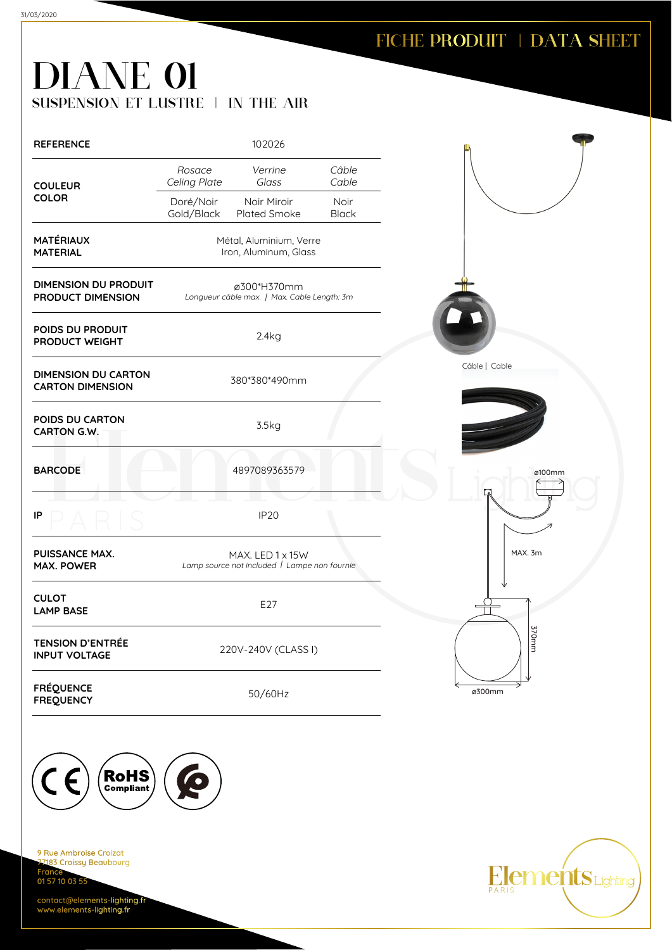# DIANE 01 SUSPENSION ET LUSTRE | IN THE AIR

| <b>REFERENCE</b>                                      | 102026                                                           |                      |               |
|-------------------------------------------------------|------------------------------------------------------------------|----------------------|---------------|
| <b>COULEUR</b>                                        | Rosace<br>Verrine<br>Celing Plate<br>Glass                       | Câble<br>Cable       |               |
| <b>COLOR</b>                                          | Doré/Noir<br>Noir Miroir<br>Gold/Black<br>Plated Smoke           | Noir<br><b>Black</b> |               |
| <b>MATÉRIAUX</b><br><b>MATERIAL</b>                   | Métal, Aluminium, Verre<br>Iron, Aluminum, Glass                 |                      |               |
| <b>DIMENSION DU PRODUIT</b><br>PRODUCT DIMENSION      | ø300*H370mm<br>Longueur câble max.   Max. Cable Length: 3m       |                      |               |
| POIDS DU PRODUIT<br>PRODUCT WEIGHT                    | 2.4kg                                                            |                      |               |
| <b>DIMENSION DU CARTON</b><br><b>CARTON DIMENSION</b> | 380*380*490mm                                                    |                      | Câble   Cable |
| POIDS DU CARTON<br><b>CARTON G.W.</b>                 | 3.5kg                                                            |                      |               |
| <b>BARCODE</b>                                        | 4897089363579                                                    |                      | ø100mm        |
| IP                                                    | <b>IP20</b>                                                      |                      |               |
| <b>PUISSANCE MAX.</b><br><b>MAX. POWER</b>            | MAX. LED 1 x 15W<br>Lamp source not included   Lampe non fournie |                      | MAX. 3m       |
| <b>CULOT</b><br><b>LAMP BASE</b>                      | E27                                                              |                      |               |
| <b>TENSION D'ENTRÉE</b><br><b>INPUT VOLTAGE</b>       | 220V-240V (CLASS I)                                              |                      | 370mm         |
| <b>FRÉQUENCE</b><br><b>FREQUENCY</b>                  | 50/60Hz                                                          |                      | ø300mm        |



9 Rue Ambroise Croizat nas<br>2183 Croissy Beaubourg Fran 01 57 10 03 55

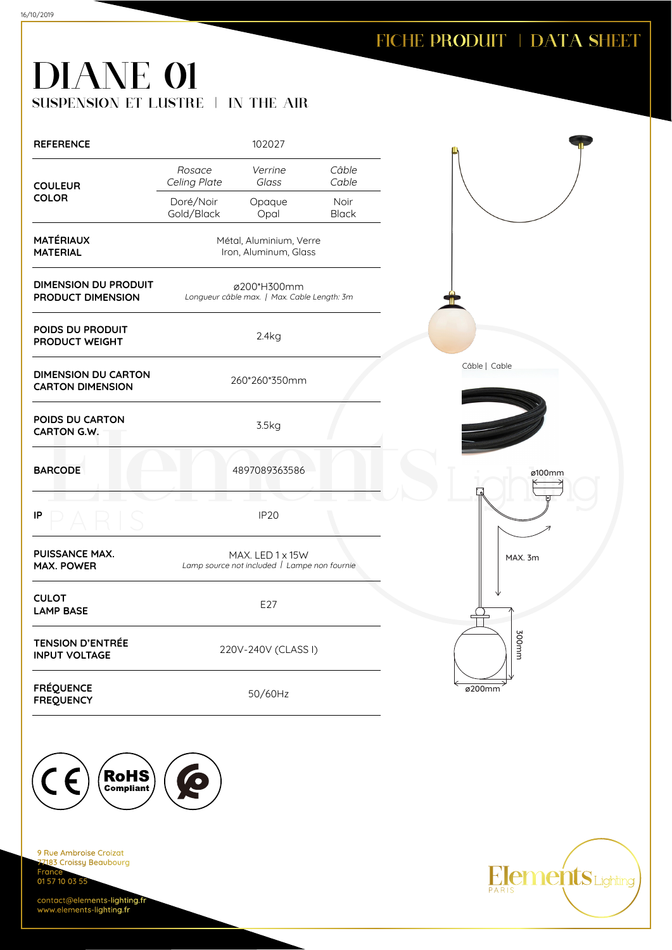Elements Lighting

# DIANE 01 SUSPENSION ET LUSTRE | IN THE AIR

16/10/2019

| <b>REFERENCE</b>                                      |                         | 102027                                                           |                      |               |  |
|-------------------------------------------------------|-------------------------|------------------------------------------------------------------|----------------------|---------------|--|
| <b>COULEUR</b><br><b>COLOR</b>                        | Rosace<br>Celing Plate  | Verrine<br>Glass                                                 | Câble<br>Cable       |               |  |
|                                                       | Doré/Noir<br>Gold/Black | Opaque<br>Opal                                                   | Noir<br><b>Black</b> |               |  |
| <b>MATÉRIAUX</b><br><b>MATERIAL</b>                   |                         | Métal, Aluminium, Verre<br>Iron, Aluminum, Glass                 |                      |               |  |
| <b>DIMENSION DU PRODUIT</b><br>PRODUCT DIMENSION      |                         | ø200*H300mm<br>Longueur câble max.   Max. Cable Length: 3m       |                      |               |  |
| POIDS DU PRODUIT<br>PRODUCT WEIGHT                    |                         | 2.4kg                                                            |                      |               |  |
| <b>DIMENSION DU CARTON</b><br><b>CARTON DIMENSION</b> |                         | 260*260*350mm                                                    |                      | Câble   Cable |  |
| POIDS DU CARTON<br>CARTON G.W.                        |                         | 3.5kg                                                            |                      |               |  |
| <b>BARCODE</b>                                        |                         | 4897089363586                                                    |                      | ø100mm        |  |
| IP                                                    |                         | <b>IP20</b>                                                      |                      |               |  |
| PUISSANCE MAX.<br><b>MAX. POWER</b>                   |                         | MAX. LED 1 x 15W<br>Lamp source not included   Lampe non fournie |                      | MAX. 3m       |  |
| <b>CULOT</b><br><b>LAMP BASE</b>                      |                         | E27                                                              |                      |               |  |
| <b>TENSION D'ENTRÉE</b><br><b>INPUT VOLTAGE</b>       |                         | 220V-240V (CLASS I)                                              |                      | mm002         |  |
| <b>FRÉQUENCE</b><br><b>FREQUENCY</b>                  |                         | 50/60Hz                                                          |                      | ø200mm        |  |



9 Rue Ambroise Croizat nas<br>2183 Croissy Beaubourg France 01 57 10 03 55